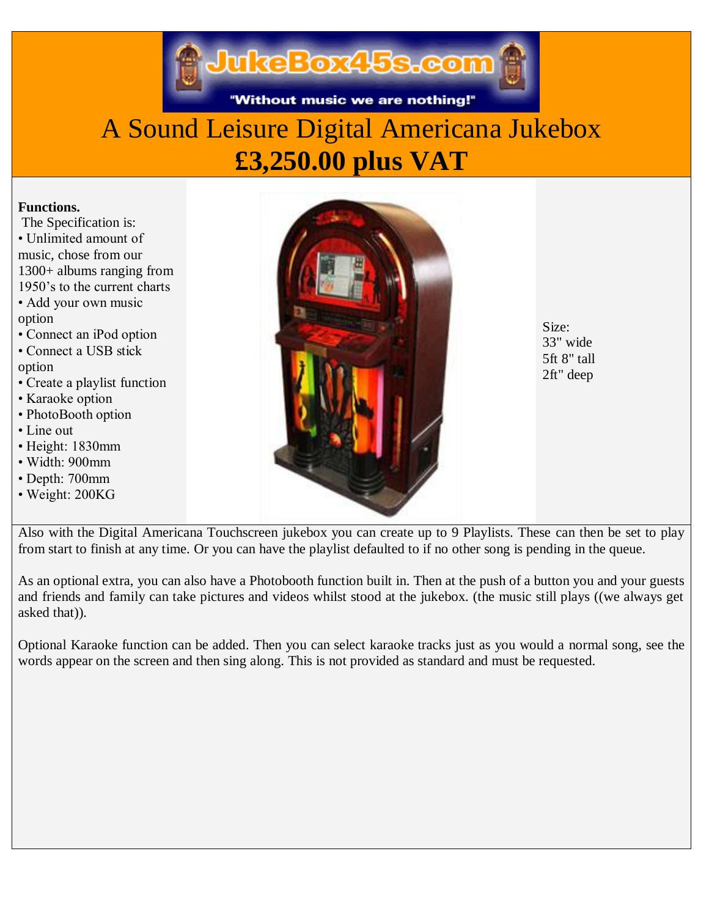## ukeBox45s.com

"Without music we are nothing!"

## A Sound Leisure Digital Americana Jukebox **£3,250.00 plus VAT**

## **Functions.**

- The Specification is: • Unlimited amount of music, chose from our 1300+ albums ranging from 1950's to the current charts • Add your own music option • Connect an iPod option
- Connect a USB stick option
- Create a playlist function
- Karaoke option
- PhotoBooth option
- Line out
- Height: 1830mm
- Width: 900mm
- Depth: 700mm
- Weight: 200KG



Size: 33" wide 5ft 8" tall 2ft" deep

Also with the Digital Americana Touchscreen jukebox you can create up to 9 Playlists. These can then be set to play from start to finish at any time. Or you can have the playlist defaulted to if no other song is pending in the queue.

As an optional extra, you can also have a Photobooth function built in. Then at the push of a button you and your guests and friends and family can take pictures and videos whilst stood at the jukebox. (the music still plays ((we always get asked that)).

Optional Karaoke function can be added. Then you can select karaoke tracks just as you would a normal song, see the words appear on the screen and then sing along. This is not provided as standard and must be requested.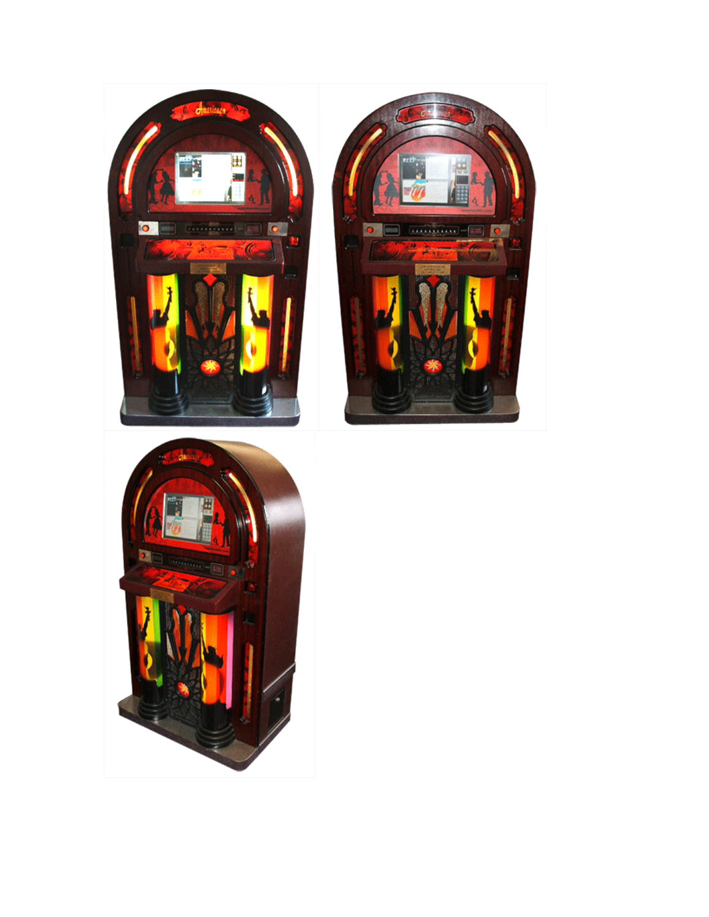